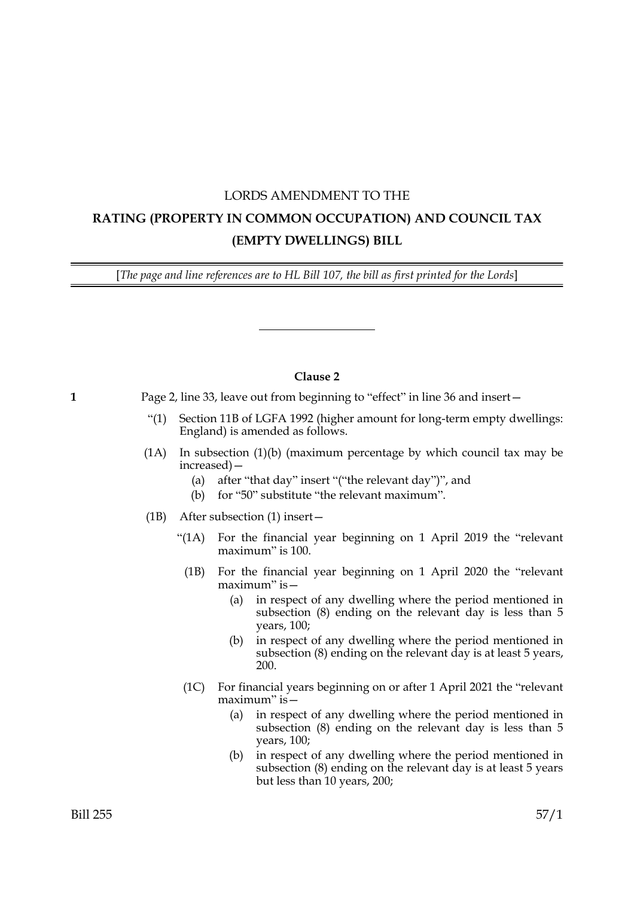## LORDS AMENDMENT TO THE **RATING (PROPERTY IN COMMON OCCUPATION) AND COUNCIL TAX (EMPTY DWELLINGS) BILL**

[*The page and line references are to HL Bill 107, the bill as first printed for the Lords*]

## **Clause 2**

**1** Page 2, line 33, leave out from beginning to "effect" in line 36 and insert—

- "(1) Section 11B of LGFA 1992 (higher amount for long-term empty dwellings: England) is amended as follows.
- (1A) In subsection (1)(b) (maximum percentage by which council tax may be increased)—
	- (a) after "that day" insert "("the relevant day")", and
	- (b) for "50" substitute "the relevant maximum".
- (1B) After subsection (1) insert—
	- "(1A) For the financial year beginning on 1 April 2019 the "relevant maximum" is 100.
		- (1B) For the financial year beginning on 1 April 2020 the "relevant maximum" is—
			- (a) in respect of any dwelling where the period mentioned in subsection (8) ending on the relevant day is less than 5 years, 100;
			- (b) in respect of any dwelling where the period mentioned in subsection (8) ending on the relevant day is at least 5 years, 200.
	- (1C) For financial years beginning on or after 1 April 2021 the "relevant maximum" is—
		- (a) in respect of any dwelling where the period mentioned in subsection (8) ending on the relevant day is less than 5 years, 100;
		- (b) in respect of any dwelling where the period mentioned in subsection (8) ending on the relevant day is at least 5 years but less than 10 years, 200;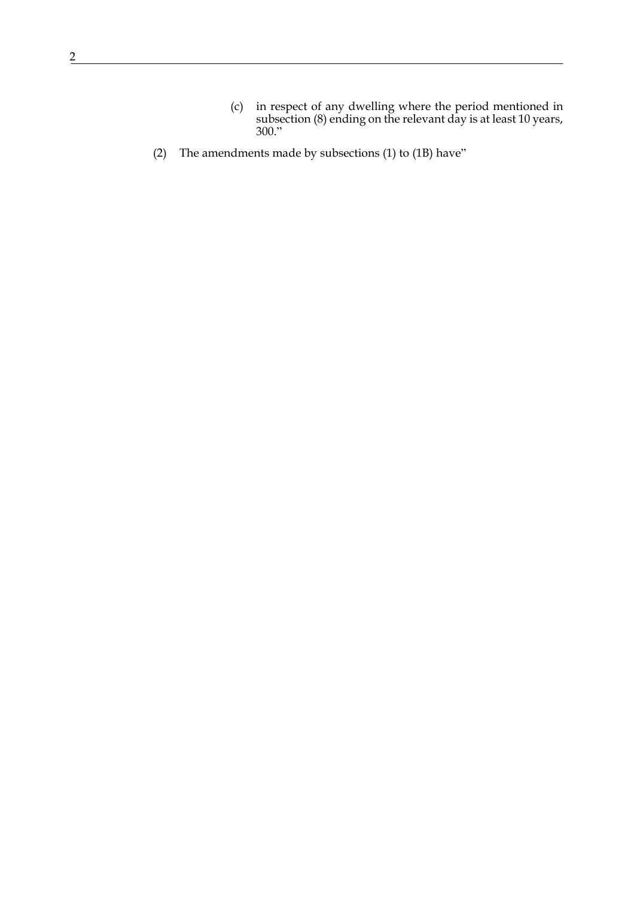(2) The amendments made by subsections (1) to (1B) have"